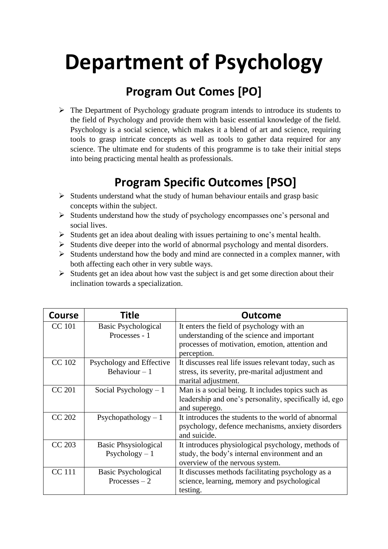## **Department of Psychology**

## **Program Out Comes [PO]**

➢ The Department of Psychology graduate program intends to introduce its students to the field of Psychology and provide them with basic essential knowledge of the field. Psychology is a social science, which makes it a blend of art and science, requiring tools to grasp intricate concepts as well as tools to gather data required for any science. The ultimate end for students of this programme is to take their initial steps into being practicing mental health as professionals.

## **Program Specific Outcomes [PSO]**

- $\triangleright$  Students understand what the study of human behaviour entails and grasp basic concepts within the subject.
- ➢ Students understand how the study of psychology encompasses one's personal and social lives.
- ➢ Students get an idea about dealing with issues pertaining to one's mental health.
- ➢ Students dive deeper into the world of abnormal psychology and mental disorders.
- ➢ Students understand how the body and mind are connected in a complex manner, with both affecting each other in very subtle ways.
- $\triangleright$  Students get an idea about how vast the subject is and get some direction about their inclination towards a specialization.

| <b>Course</b> | Title                                         | <b>Outcome</b>                                                                                                                                            |
|---------------|-----------------------------------------------|-----------------------------------------------------------------------------------------------------------------------------------------------------------|
| <b>CC</b> 101 | Basic Psychological<br>Processes - 1          | It enters the field of psychology with an<br>understanding of the science and important<br>processes of motivation, emotion, attention and<br>perception. |
| <b>CC</b> 102 | Psychology and Effective<br>Behaviour $-1$    | It discusses real life issues relevant today, such as<br>stress, its severity, pre-marital adjustment and<br>marital adjustment.                          |
| <b>CC 201</b> | Social Psychology $-1$                        | Man is a social being. It includes topics such as<br>leadership and one's personality, specifically id, ego<br>and superego.                              |
| <b>CC 202</b> | Psychopathology $-1$                          | It introduces the students to the world of abnormal<br>psychology, defence mechanisms, anxiety disorders<br>and suicide.                                  |
| CC 203        | <b>Basic Phsysiological</b><br>$Psychology-1$ | It introduces physiological psychology, methods of<br>study, the body's internal environment and an<br>overview of the nervous system.                    |
| <b>CC</b> 111 | Basic Psychological<br>Processes $-2$         | It discusses methods facilitating psychology as a<br>science, learning, memory and psychological<br>testing.                                              |